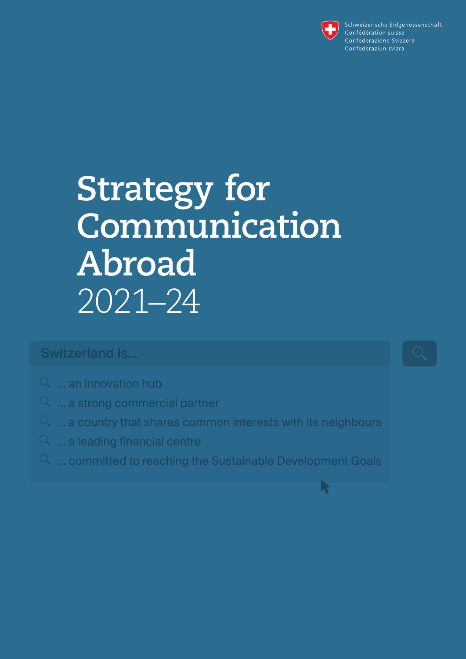

R

Schweizerische Eidgenossenschaft Confédération suisse Confederazione Svizzera Confederaziun svizra

# **Strategy for Communication Abroad**  2021–24

### **Switzerland is...**

- $\alpha$  ... an innovation hub
- $\alpha$  ... a strong commercial partner
- $\alpha$  ... a country that shares common interests with its neighbours
- $\alpha$  ... a leading financial centre
- $\alpha$  ... committed to reaching the Sustainable Development Goals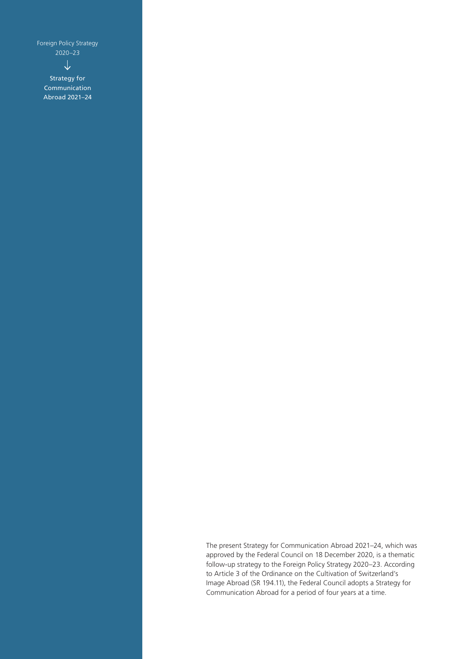Foreign Policy Strategy 2020–23

 $\downarrow$ 

Strategy for Communication Abroad 2021–24

> The present Strategy for Communication Abroad 2021–24, which was approved by the Federal Council on 18 December 2020, is a thematic follow-up strategy to the Foreign Policy Strategy 2020–23. According to Article 3 of the Ordinance on the Cultivation of Switzerland's Image Abroad (SR 194.11), the Federal Council adopts a Strategy for Communication Abroad for a period of four years at a time.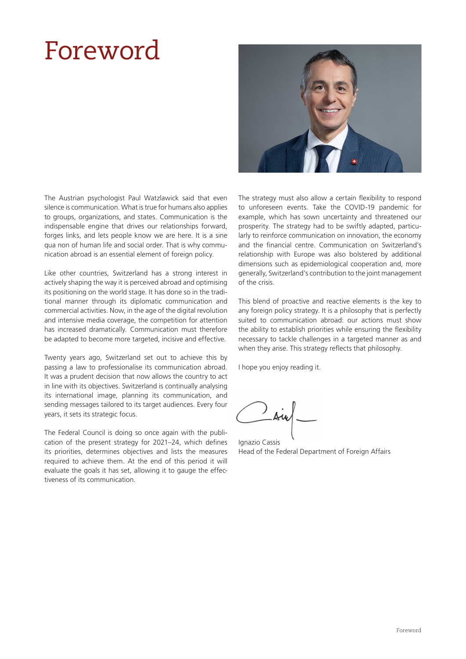## Foreword



The Austrian psychologist Paul Watzlawick said that even silence is communication. What is true for humans also applies to groups, organizations, and states. Communication is the indispensable engine that drives our relationships forward, forges links, and lets people know we are here. It is a sine qua non of human life and social order. That is why communication abroad is an essential element of foreign policy.

Like other countries, Switzerland has a strong interest in actively shaping the way it is perceived abroad and optimising its positioning on the world stage. It has done so in the traditional manner through its diplomatic communication and commercial activities. Now, in the age of the digital revolution and intensive media coverage, the competition for attention has increased dramatically. Communication must therefore be adapted to become more targeted, incisive and effective.

Twenty years ago, Switzerland set out to achieve this by passing a law to professionalise its communication abroad. It was a prudent decision that now allows the country to act in line with its objectives. Switzerland is continually analysing its international image, planning its communication, and sending messages tailored to its target audiences. Every four years, it sets its strategic focus.

The Federal Council is doing so once again with the publication of the present strategy for 2021–24, which defines its priorities, determines objectives and lists the measures required to achieve them. At the end of this period it will evaluate the goals it has set, allowing it to gauge the effectiveness of its communication.

The strategy must also allow a certain flexibility to respond to unforeseen events. Take the COVID-19 pandemic for example, which has sown uncertainty and threatened our prosperity. The strategy had to be swiftly adapted, particularly to reinforce communication on innovation, the economy and the financial centre. Communication on Switzerland's relationship with Europe was also bolstered by additional dimensions such as epidemiological cooperation and, more generally, Switzerland's contribution to the joint management of the crisis.

This blend of proactive and reactive elements is the key to any foreign policy strategy. It is a philosophy that is perfectly suited to communication abroad: our actions must show the ability to establish priorities while ensuring the flexibility necessary to tackle challenges in a targeted manner as and when they arise. This strategy reflects that philosophy.

I hope you enjoy reading it.

Ignazio Cassis Head of the Federal Department of Foreign Affairs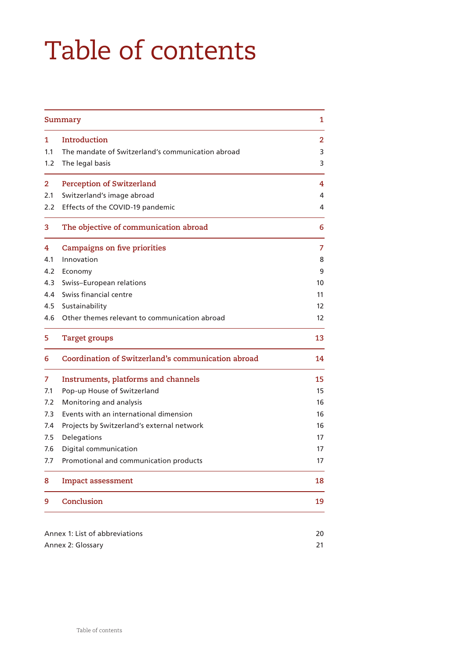# Table of contents

|                | Summary<br>1                                       |              |  |  |  |
|----------------|----------------------------------------------------|--------------|--|--|--|
| $\mathbf{1}$   | Introduction                                       | $\mathbf{2}$ |  |  |  |
| 1.1            | The mandate of Switzerland's communication abroad  | 3            |  |  |  |
| 1.2            | The legal basis                                    | 3            |  |  |  |
| $\overline{2}$ | <b>Perception of Switzerland</b>                   | 4            |  |  |  |
| 2.1            | Switzerland's image abroad                         | 4            |  |  |  |
| 2.2            | Effects of the COVID-19 pandemic                   | 4            |  |  |  |
| 3              | The objective of communication abroad              | 6            |  |  |  |
| 4              | <b>Campaigns on five priorities</b>                | 7            |  |  |  |
| 4.1            | Innovation                                         | 8            |  |  |  |
| 4.2            | Economy                                            | 9            |  |  |  |
| 4.3            | Swiss-European relations                           | 10           |  |  |  |
| 4.4            | Swiss financial centre                             | 11           |  |  |  |
| 4.5            | Sustainability                                     | 12           |  |  |  |
| 4.6            | Other themes relevant to communication abroad      | 12           |  |  |  |
| 5              | <b>Target groups</b>                               | 13           |  |  |  |
| 6              | Coordination of Switzerland's communication abroad | 14           |  |  |  |
| 7              | Instruments, platforms and channels                | 15           |  |  |  |
| 7.1            | Pop-up House of Switzerland                        | 15           |  |  |  |
| 7.2            | Monitoring and analysis                            | 16           |  |  |  |
| 7.3            | Events with an international dimension             | 16           |  |  |  |
| 7.4            | Projects by Switzerland's external network         | 16           |  |  |  |
| 7.5            | Delegations                                        | 17           |  |  |  |
| 7.6            | Digital communication                              | 17           |  |  |  |
| 7.7            | Promotional and communication products             | 17           |  |  |  |
| 8              | <b>Impact assessment</b>                           | 18           |  |  |  |
| 9              | Conclusion                                         | 19           |  |  |  |
|                |                                                    |              |  |  |  |
|                | Annex 1: List of abbreviations                     |              |  |  |  |
|                | Annex 2: Glossary                                  |              |  |  |  |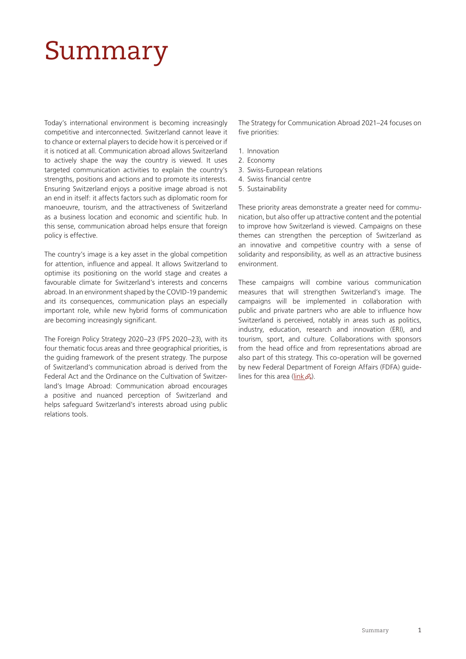## <span id="page-4-0"></span>Summary

Today's international environment is becoming increasingly competitive and interconnected. Switzerland cannot leave it to chance or external players to decide how it is perceived or if it is noticed at all. Communication abroad allows Switzerland to actively shape the way the country is viewed. It uses targeted communication activities to explain the country's strengths, positions and actions and to promote its interests. Ensuring Switzerland enjoys a positive image abroad is not an end in itself: it affects factors such as diplomatic room for manoeuvre, tourism, and the attractiveness of Switzerland as a business location and economic and scientific hub. In this sense, communication abroad helps ensure that foreign policy is effective.

The country's image is a key asset in the global competition for attention, influence and appeal. It allows Switzerland to optimise its positioning on the world stage and creates a favourable climate for Switzerland's interests and concerns abroad. In an environment shaped by the COVID-19 pandemic and its consequences, communication plays an especially important role, while new hybrid forms of communication are becoming increasingly significant.

The Foreign Policy Strategy 2020–23 (FPS 2020–23), with its four thematic focus areas and three geographical priorities, is the guiding framework of the present strategy. The purpose of Switzerland's communication abroad is derived from the Federal Act and the Ordinance on the Cultivation of Switzerland's Image Abroad: Communication abroad encourages a positive and nuanced perception of Switzerland and helps safeguard Switzerland's interests abroad using public relations tools.

The Strategy for Communication Abroad 2021–24 focuses on five priorities:

- 1. Innovation
- 2. Economy
- 3. Swiss-European relations
- 4. Swiss financial centre
- 5. Sustainability

These priority areas demonstrate a greater need for communication, but also offer up attractive content and the potential to improve how Switzerland is viewed. Campaigns on these themes can strengthen the perception of Switzerland as an innovative and competitive country with a sense of solidarity and responsibility, as well as an attractive business environment.

These campaigns will combine various communication measures that will strengthen Switzerland's image. The campaigns will be implemented in collaboration with public and private partners who are able to influence how Switzerland is perceived, notably in areas such as politics, industry, education, research and innovation (ERI), and tourism, sport, and culture. Collaborations with sponsors from the head office and from representations abroad are also part of this strategy. This co-operation will be governed by new Federal Department of Foreign Affairs (FDFA) guidelines for this area ( $link \&$ ).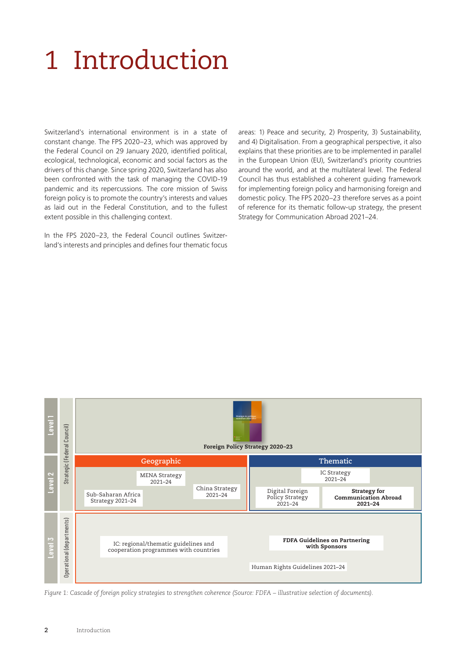# <span id="page-5-0"></span>1 Introduction

Switzerland's international environment is in a state of constant change. The FPS 2020–23, which was approved by the Federal Council on 29 January 2020, identified political, ecological, technological, economic and social factors as the drivers of this change. Since spring 2020, Switzerland has also been confronted with the task of managing the COVID-19 pandemic and its repercussions. The core mission of Swiss foreign policy is to promote the country's interests and values as laid out in the Federal Constitution, and to the fullest extent possible in this challenging context.

In the FPS 2020–23, the Federal Council outlines Switzerland's interests and principles and defines four thematic focus areas: 1) Peace and security, 2) Prosperity, 3) Sustainability, and 4) Digitalisation. From a geographical perspective, it also explains that these priorities are to be implemented in parallel in the European Union (EU), Switzerland's priority countries around the world, and at the multilateral level. The Federal Council has thus established a coherent guiding framework for implementing foreign policy and harmonising foreign and domestic policy. The FPS 2020–23 therefore serves as a point of reference for its thematic follow-up strategy, the present Strategy for Communication Abroad 2021–24.

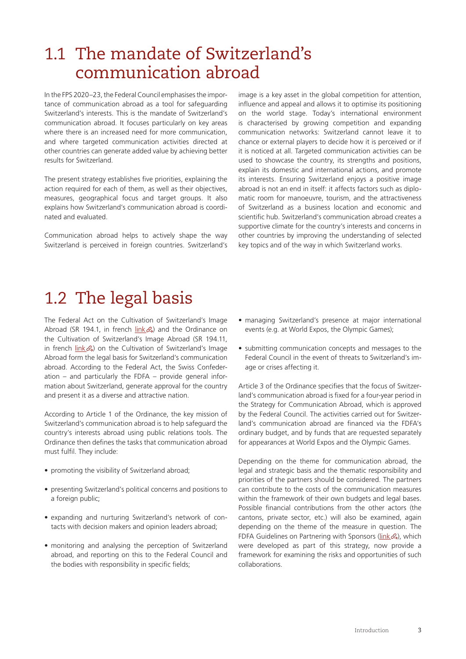## <span id="page-6-0"></span>1.1 The mandate of Switzerland's communication abroad

In the FPS 2020–23, the Federal Council emphasises the importance of communication abroad as a tool for safeguarding Switzerland's interests. This is the mandate of Switzerland's communication abroad. It focuses particularly on key areas where there is an increased need for more communication, and where targeted communication activities directed at other countries can generate added value by achieving better results for Switzerland.

The present strategy establishes five priorities, explaining the action required for each of them, as well as their objectives, measures, geographical focus and target groups. It also explains how Switzerland's communication abroad is coordinated and evaluated.

Communication abroad helps to actively shape the way Switzerland is perceived in foreign countries. Switzerland's image is a key asset in the global competition for attention, influence and appeal and allows it to optimise its positioning on the world stage. Today's international environment is characterised by growing competition and expanding communication networks: Switzerland cannot leave it to chance or external players to decide how it is perceived or if it is noticed at all. Targeted communication activities can be used to showcase the country, its strengths and positions, explain its domestic and international actions, and promote its interests. Ensuring Switzerland enjoys a positive image abroad is not an end in itself: it affects factors such as diplomatic room for manoeuvre, tourism, and the attractiveness of Switzerland as a business location and economic and scientific hub. Switzerland's communication abroad creates a supportive climate for the country's interests and concerns in other countries by improving the understanding of selected key topics and of the way in which Switzerland works.

## 1.2 The legal basis

The Federal Act on the Cultivation of Switzerland's Image Abroad (SR 194.1, in french  $link \&mathcal{A}$  $link \&mathcal{A}$ ) and the Ordinance on the Cultivation of Switzerland's Image Abroad (SR 194.11, in french  $\lim k \mathcal{B}$ ) on the Cultivation of Switzerland's Image Abroad form the legal basis for Switzerland's communication abroad. According to the Federal Act, the Swiss Confederation – and particularly the FDFA – provide general information about Switzerland, generate approval for the country and present it as a diverse and attractive nation.

According to Article 1 of the Ordinance, the key mission of Switzerland's communication abroad is to help safeguard the country's interests abroad using public relations tools. The Ordinance then defines the tasks that communication abroad must fulfil. They include:

- promoting the visibility of Switzerland abroad;
- presenting Switzerland's political concerns and positions to a foreign public;
- expanding and nurturing Switzerland's network of contacts with decision makers and opinion leaders abroad;
- monitoring and analysing the perception of Switzerland abroad, and reporting on this to the Federal Council and the bodies with responsibility in specific fields;
- managing Switzerland's presence at major international events (e.g. at World Expos, the Olympic Games);
- submitting communication concepts and messages to the Federal Council in the event of threats to Switzerland's image or crises affecting it.

Article 3 of the Ordinance specifies that the focus of Switzerland's communication abroad is fixed for a four-year period in the Strategy for Communication Abroad, which is approved by the Federal Council. The activities carried out for Switzerland's communication abroad are financed via the FDFA's ordinary budget, and by funds that are requested separately for appearances at World Expos and the Olympic Games.

Depending on the theme for communication abroad, the legal and strategic basis and the thematic responsibility and priorities of the partners should be considered. The partners can contribute to the costs of the communication measures within the framework of their own budgets and legal bases. Possible financial contributions from the other actors (the cantons, private sector, etc.) will also be examined, again depending on the theme of the measure in question. The FDFA Guidelines on Partnering with Sponsors [\(link](https://www.eda.admin.ch/dam/eda/en/documents/publications/SchweizerischeAussenpolitik/richtlinien-des-eda-zur-zusammenarbeit-mit-sponsoren-2021_EN.pdf)  $\mathcal{L}_1$ ), which were developed as part of this strategy, now provide a framework for examining the risks and opportunities of such collaborations.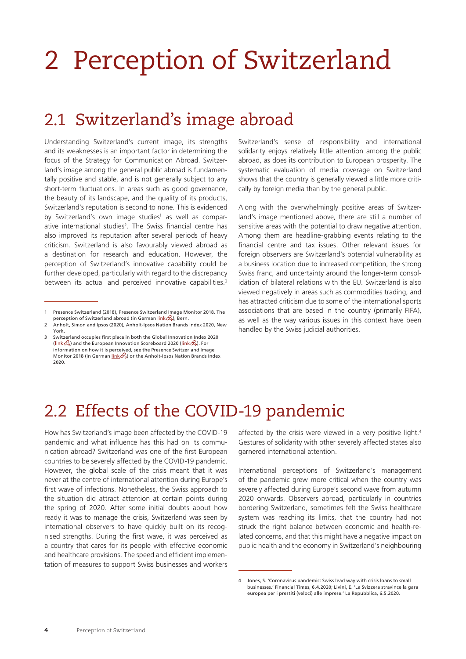# <span id="page-7-0"></span>2 Perception of Switzerland

### 2.1 Switzerland's image abroad

Understanding Switzerland's current image, its strengths and its weaknesses is an important factor in determining the focus of the Strategy for Communication Abroad. Switzerland's image among the general public abroad is fundamentally positive and stable, and is not generally subject to any short-term fluctuations. In areas such as good governance, the beauty of its landscape, and the quality of its products, Switzerland's reputation is second to none. This is evidenced by Switzerland's own image studies<sup>1</sup> as well as comparative international studies<sup>2</sup>. The Swiss financial centre has also improved its reputation after several periods of heavy criticism. Switzerland is also favourably viewed abroad as a destination for research and education. However, the perception of Switzerland's innovative capability could be further developed, particularly with regard to the discrepancy between its actual and perceived innovative capabilities.<sup>3</sup>

Switzerland's sense of responsibility and international solidarity enjoys relatively little attention among the public abroad, as does its contribution to European prosperity. The systematic evaluation of media coverage on Switzerland shows that the country is generally viewed a little more critically by foreign media than by the general public.

Along with the overwhelmingly positive areas of Switzerland's image mentioned above, there are still a number of sensitive areas with the potential to draw negative attention. Among them are headline-grabbing events relating to the financial centre and tax issues. Other relevant issues for foreign observers are Switzerland's potential vulnerability as a business location due to increased competition, the strong Swiss franc, and uncertainty around the longer-term consolidation of bilateral relations with the EU. Switzerland is also viewed negatively in areas such as commodities trading, and has attracted criticism due to some of the international sports associations that are based in the country (primarily FIFA), as well as the way various issues in this context have been handled by the Swiss judicial authorities.

## 2.2 Effects of the COVID-19 pandemic

How has Switzerland's image been affected by the COVID-19 pandemic and what influence has this had on its communication abroad? Switzerland was one of the first European countries to be severely affected by the COVID-19 pandemic. However, the global scale of the crisis meant that it was never at the centre of international attention during Europe's first wave of infections. Nonetheless, the Swiss approach to the situation did attract attention at certain points during the spring of 2020. After some initial doubts about how ready it was to manage the crisis, Switzerland was seen by international observers to have quickly built on its recognised strengths. During the first wave, it was perceived as a country that cares for its people with effective economic and healthcare provisions. The speed and efficient implementation of measures to support Swiss businesses and workers

affected by the crisis were viewed in a very positive light.<sup>4</sup> Gestures of solidarity with other severely affected states also garnered international attention.

International perceptions of Switzerland's management of the pandemic grew more critical when the country was severely affected during Europe's second wave from autumn 2020 onwards. Observers abroad, particularly in countries bordering Switzerland, sometimes felt the Swiss healthcare system was reaching its limits, that the country had not struck the right balance between economic and health-related concerns, and that this might have a negative impact on public health and the economy in Switzerland's neighbouring

<sup>1</sup> Presence Switzerland (2018), Presence Switzerland Image Monitor 2018. The perception of Switzerland abroad (in German  $\text{link} \mathcal{B}$ ), Bern.

<sup>2</sup> Anholt, Simon and Ipsos (2020), Anholt-Ipsos Nation Brands Index 2020, New York.

<sup>3</sup> Switzerland occupies first place in both the Global Innovation Index 2020 [\(link](https://www.wipo.int/edocs/pubdocs/en/wipo_pub_gii_2020.pdf)  $\&$ ) and the European Innovation Scoreboard 2020 ([link](https://ec.europa.eu/growth/industry/policy/innovation/scoreboards_en)  $\&$ ). For information on how it is perceived, see the Presence Switzerland Image Monitor 2018 (in German  $\lim_{\delta \to 0}$ ) or the Anholt-Ipsos Nation Brands Index 2020.

<sup>4</sup> Jones, S. 'Coronavirus pandemic: Swiss lead way with crisis loans to small businesses.' Financial Times, 6.4.2020; Livini, E. 'La Svizzera stravince la gara europea per i prestiti (veloci) alle imprese.' La Repubblica, 6.5.2020.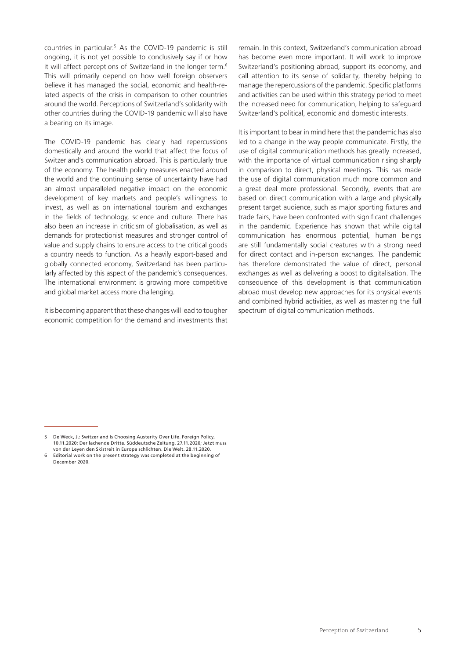countries in particular.5 As the COVID-19 pandemic is still ongoing, it is not yet possible to conclusively say if or how it will affect perceptions of Switzerland in the longer term.<sup>6</sup> This will primarily depend on how well foreign observers believe it has managed the social, economic and health-related aspects of the crisis in comparison to other countries around the world. Perceptions of Switzerland's solidarity with other countries during the COVID-19 pandemic will also have a bearing on its image.

The COVID-19 pandemic has clearly had repercussions domestically and around the world that affect the focus of Switzerland's communication abroad. This is particularly true of the economy. The health policy measures enacted around the world and the continuing sense of uncertainty have had an almost unparalleled negative impact on the economic development of key markets and people's willingness to invest, as well as on international tourism and exchanges in the fields of technology, science and culture. There has also been an increase in criticism of globalisation, as well as demands for protectionist measures and stronger control of value and supply chains to ensure access to the critical goods a country needs to function. As a heavily export-based and globally connected economy, Switzerland has been particularly affected by this aspect of the pandemic's consequences. The international environment is growing more competitive and global market access more challenging.

It is becoming apparent that these changes will lead to tougher economic competition for the demand and investments that remain. In this context, Switzerland's communication abroad has become even more important. It will work to improve Switzerland's positioning abroad, support its economy, and call attention to its sense of solidarity, thereby helping to manage the repercussions of the pandemic. Specific platforms and activities can be used within this strategy period to meet the increased need for communication, helping to safeguard Switzerland's political, economic and domestic interests.

It is important to bear in mind here that the pandemic has also led to a change in the way people communicate. Firstly, the use of digital communication methods has greatly increased, with the importance of virtual communication rising sharply in comparison to direct, physical meetings. This has made the use of digital communication much more common and a great deal more professional. Secondly, events that are based on direct communication with a large and physically present target audience, such as major sporting fixtures and trade fairs, have been confronted with significant challenges in the pandemic. Experience has shown that while digital communication has enormous potential, human beings are still fundamentally social creatures with a strong need for direct contact and in-person exchanges. The pandemic has therefore demonstrated the value of direct, personal exchanges as well as delivering a boost to digitalisation. The consequence of this development is that communication abroad must develop new approaches for its physical events and combined hybrid activities, as well as mastering the full spectrum of digital communication methods.

<sup>5</sup> De Weck, J.: Switzerland Is Choosing Austerity Over Life. Foreign Policy, 10.11.2020; Der lachende Dritte. Süddeutsche Zeitung. 27.11.2020; Jetzt muss von der Leyen den Skistreit in Europa schlichten. Die Welt. 28.11.2020.

Editorial work on the present strategy was completed at the beginning of December 2020.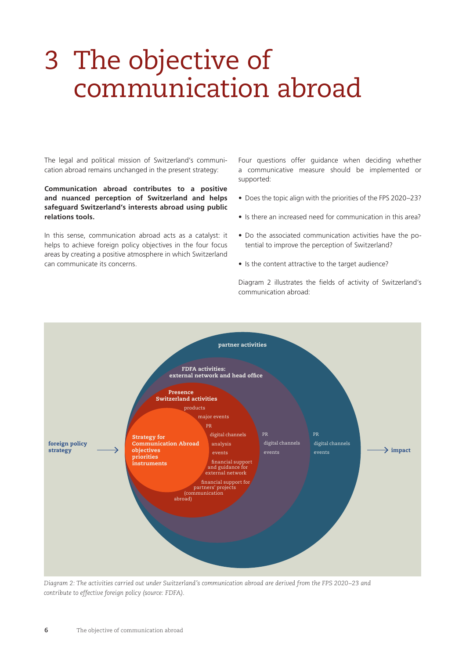## <span id="page-9-0"></span>3 The objective of communication abroad

The legal and political mission of Switzerland's communication abroad remains unchanged in the present strategy:

**Communication abroad contributes to a positive and nuanced perception of Switzerland and helps safeguard Switzerland's interests abroad using public relations tools.**

In this sense, communication abroad acts as a catalyst: it helps to achieve foreign policy objectives in the four focus areas by creating a positive atmosphere in which Switzerland can communicate its concerns.

Four questions offer guidance when deciding whether a communicative measure should be implemented or supported:

- Does the topic align with the priorities of the FPS 2020–23?
- Is there an increased need for communication in this area?
- Do the associated communication activities have the potential to improve the perception of Switzerland?
- Is the content attractive to the target audience?

Diagram 2 illustrates the fields of activity of Switzerland's communication abroad:



*Diagram 2: The activities carried out under Switzerland's communication abroad are derived from the FPS 2020–23 and contribute to effective foreign policy (source: FDFA).*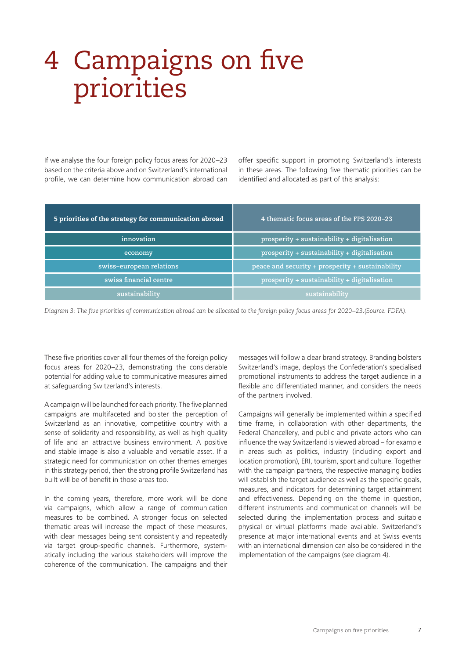## <span id="page-10-0"></span>4 Campaigns on five priorities

If we analyse the four foreign policy focus areas for 2020–23 based on the criteria above and on Switzerland's international profile, we can determine how communication abroad can offer specific support in promoting Switzerland's interests in these areas. The following five thematic priorities can be identified and allocated as part of this analysis:

| 5 priorities of the strategy for communication abroad | 4 thematic focus areas of the FPS 2020-23        |
|-------------------------------------------------------|--------------------------------------------------|
| innovation                                            | prosperity + sustainability + digitalisation     |
| economy                                               | prosperity + sustainability + digitalisation     |
| swiss-european relations                              | peace and security + prosperity + sustainability |
| swiss financial centre                                | prosperity + sustainability + digitalisation     |
| sustainability                                        | sustainability                                   |

*Diagram 3: The five priorities of communication abroad can be allocated to the foreign policy focus areas for 2020–23.(Source: FDFA).*

These five priorities cover all four themes of the foreign policy focus areas for 2020–23, demonstrating the considerable potential for adding value to communicative measures aimed at safeguarding Switzerland's interests.

A campaign will be launched for each priority. The five planned campaigns are multifaceted and bolster the perception of Switzerland as an innovative, competitive country with a sense of solidarity and responsibility, as well as high quality of life and an attractive business environment. A positive and stable image is also a valuable and versatile asset. If a strategic need for communication on other themes emerges in this strategy period, then the strong profile Switzerland has built will be of benefit in those areas too.

In the coming years, therefore, more work will be done via campaigns, which allow a range of communication measures to be combined. A stronger focus on selected thematic areas will increase the impact of these measures, with clear messages being sent consistently and repeatedly via target group-specific channels. Furthermore, systematically including the various stakeholders will improve the coherence of the communication. The campaigns and their

messages will follow a clear brand strategy. Branding bolsters Switzerland's image, deploys the Confederation's specialised promotional instruments to address the target audience in a flexible and differentiated manner, and considers the needs of the partners involved.

Campaigns will generally be implemented within a specified time frame, in collaboration with other departments, the Federal Chancellery, and public and private actors who can influence the way Switzerland is viewed abroad – for example in areas such as politics, industry (including export and location promotion), ERI, tourism, sport and culture. Together with the campaign partners, the respective managing bodies will establish the target audience as well as the specific goals, measures, and indicators for determining target attainment and effectiveness. Depending on the theme in question, different instruments and communication channels will be selected during the implementation process and suitable physical or virtual platforms made available. Switzerland's presence at major international events and at Swiss events with an international dimension can also be considered in the implementation of the campaigns (see diagram 4).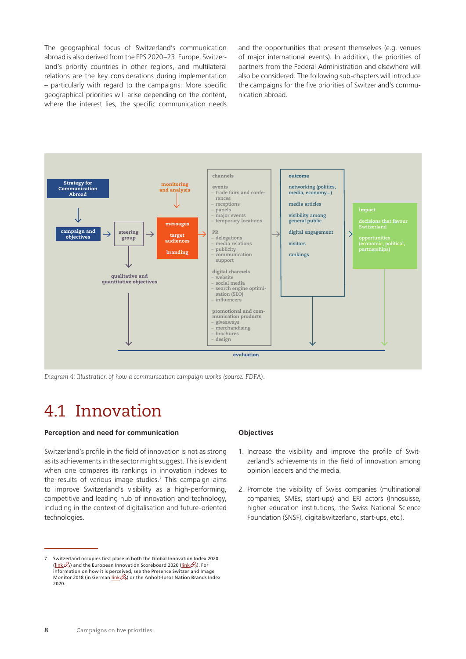<span id="page-11-0"></span>The geographical focus of Switzerland's communication abroad is also derived from the FPS 2020–23. Europe, Switzerland's priority countries in other regions, and multilateral relations are the key considerations during implementation – particularly with regard to the campaigns. More specific geographical priorities will arise depending on the content, where the interest lies, the specific communication needs

and the opportunities that present themselves (e.g. venues of major international events). In addition, the priorities of partners from the Federal Administration and elsewhere will also be considered. The following sub-chapters will introduce the campaigns for the five priorities of Switzerland's communication abroad.



*Diagram 4: Illustration of how a communication campaign works (source: FDFA).*

### 4.1 Innovation

#### **Perception and need for communication**

Switzerland's profile in the field of innovation is not as strong as its achievements in the sector might suggest. This is evident when one compares its rankings in innovation indexes to the results of various image studies.<sup>7</sup> This campaign aims to improve Switzerland's visibility as a high-performing, competitive and leading hub of innovation and technology, including in the context of digitalisation and future-oriented technologies.

#### **Objectives**

- 1. Increase the visibility and improve the profile of Switzerland's achievements in the field of innovation among opinion leaders and the media.
- 2. Promote the visibility of Swiss companies (multinational companies, SMEs, start-ups) and ERI actors (Innosuisse, higher education institutions, the Swiss National Science Foundation (SNSF), digitalswitzerland, start-ups, etc.).

<sup>7</sup> Switzerland occupies first place in both the Global Innovation Index 2020 [\(link](https://www.wipo.int/edocs/pubdocs/en/wipo_pub_gii_2020.pdf)  $\otimes$ ) and the European Innovation Scoreboard 2020 ([link](https://ec.europa.eu/growth/industry/policy/innovation/scoreboards_en)  $\otimes$ ). For information on how it is perceived, see the Presence Switzerland Image Monitor 2018 (in German [link](https://www.eda.admin.ch/dam/eda/de/documents/das-eda/landeskommunikation/Kurzbericht_PRS_Imagemonitor_2018.pdf)  $\mathcal{O}_3$ ) or the Anholt-Ipsos Nation Brands Index 2020.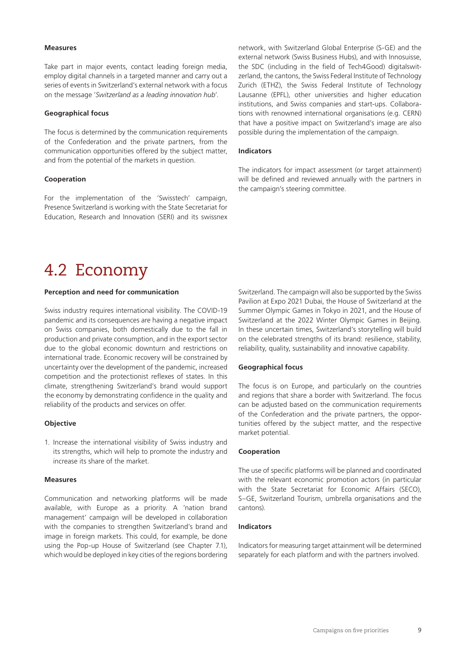#### <span id="page-12-0"></span>**Measures**

Take part in major events, contact leading foreign media, employ digital channels in a targeted manner and carry out a series of events in Switzerland's external network with a focus on the message '*Switzerland as a leading innovation hub*'.

#### **Geographical focus**

The focus is determined by the communication requirements of the Confederation and the private partners, from the communication opportunities offered by the subject matter, and from the potential of the markets in question.

#### **Cooperation**

For the implementation of the 'Swisstech' campaign, Presence Switzerland is working with the State Secretariat for Education, Research and Innovation (SERI) and its swissnex

network, with Switzerland Global Enterprise (S-GE) and the external network (Swiss Business Hubs), and with Innosuisse, the SDC (including in the field of Tech4Good) digitalswitzerland, the cantons, the Swiss Federal Institute of Technology Zurich (ETHZ), the Swiss Federal Institute of Technology Lausanne (EPFL), other universities and higher education institutions, and Swiss companies and start-ups. Collaborations with renowned international organisations (e.g. CERN) that have a positive impact on Switzerland's image are also possible during the implementation of the campaign.

#### **Indicators**

The indicators for impact assessment (or target attainment) will be defined and reviewed annually with the partners in the campaign's steering committee.

### 4.2 Economy

#### **Perception and need for communication**

Swiss industry requires international visibility. The COVID-19 pandemic and its consequences are having a negative impact on Swiss companies, both domestically due to the fall in production and private consumption, and in the export sector due to the global economic downturn and restrictions on international trade. Economic recovery will be constrained by uncertainty over the development of the pandemic, increased competition and the protectionist reflexes of states. In this climate, strengthening Switzerland's brand would support the economy by demonstrating confidence in the quality and reliability of the products and services on offer.

#### **Objective**

1. Increase the international visibility of Swiss industry and its strengths, which will help to promote the industry and increase its share of the market.

#### **Measures**

Communication and networking platforms will be made available, with Europe as a priority. A 'nation brand management' campaign will be developed in collaboration with the companies to strengthen Switzerland's brand and image in foreign markets. This could, for example, be done using the Pop-up House of Switzerland (see Chapter 7.1), which would be deployed in key cities of the regions bordering Switzerland. The campaign will also be supported by the Swiss Pavilion at Expo 2021 Dubai, the House of Switzerland at the Summer Olympic Games in Tokyo in 2021, and the House of Switzerland at the 2022 Winter Olympic Games in Beijing. In these uncertain times, Switzerland's storytelling will build on the celebrated strengths of its brand: resilience, stability, reliability, quality, sustainability and innovative capability.

#### **Geographical focus**

The focus is on Europe, and particularly on the countries and regions that share a border with Switzerland. The focus can be adjusted based on the communication requirements of the Confederation and the private partners, the opportunities offered by the subject matter, and the respective market potential.

#### **Cooperation**

The use of specific platforms will be planned and coordinated with the relevant economic promotion actors (in particular with the State Secretariat for Economic Affairs (SECO), S–GE, Switzerland Tourism, umbrella organisations and the cantons).

#### **Indicators**

Indicators for measuring target attainment will be determined separately for each platform and with the partners involved.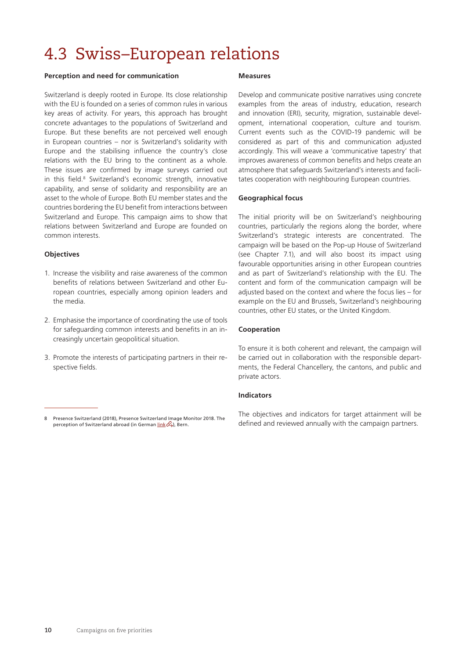## <span id="page-13-0"></span>4.3 Swiss–European relations

#### **Perception and need for communication**

Switzerland is deeply rooted in Europe. Its close relationship with the EU is founded on a series of common rules in various key areas of activity. For years, this approach has brought concrete advantages to the populations of Switzerland and Europe. But these benefits are not perceived well enough in European countries – nor is Switzerland's solidarity with Europe and the stabilising influence the country's close relations with the EU bring to the continent as a whole. These issues are confirmed by image surveys carried out in this field.8 Switzerland's economic strength, innovative capability, and sense of solidarity and responsibility are an asset to the whole of Europe. Both EU member states and the countries bordering the EU benefit from interactions between Switzerland and Europe. This campaign aims to show that relations between Switzerland and Europe are founded on common interests.

#### **Objectives**

- 1. Increase the visibility and raise awareness of the common benefits of relations between Switzerland and other European countries, especially among opinion leaders and the media.
- 2. Emphasise the importance of coordinating the use of tools for safeguarding common interests and benefits in an increasingly uncertain geopolitical situation.
- 3. Promote the interests of participating partners in their respective fields.

#### **Measures**

Develop and communicate positive narratives using concrete examples from the areas of industry, education, research and innovation (ERI), security, migration, sustainable development, international cooperation, culture and tourism. Current events such as the COVID-19 pandemic will be considered as part of this and communication adjusted accordingly. This will weave a 'communicative tapestry' that improves awareness of common benefits and helps create an atmosphere that safeguards Switzerland's interests and facilitates cooperation with neighbouring European countries.

#### **Geographical focus**

The initial priority will be on Switzerland's neighbouring countries, particularly the regions along the border, where Switzerland's strategic interests are concentrated. The campaign will be based on the Pop-up House of Switzerland (see Chapter 7.1), and will also boost its impact using favourable opportunities arising in other European countries and as part of Switzerland's relationship with the EU. The content and form of the communication campaign will be adjusted based on the context and where the focus lies – for example on the EU and Brussels, Switzerland's neighbouring countries, other EU states, or the United Kingdom.

#### **Cooperation**

To ensure it is both coherent and relevant, the campaign will be carried out in collaboration with the responsible departments, the Federal Chancellery, the cantons, and public and private actors.

#### **Indicators**

The objectives and indicators for target attainment will be defined and reviewed annually with the campaign partners.

<sup>8</sup> Presence Switzerland (2018), Presence Switzerland Image Monitor 2018. The perception of Switzerland abroad (in German [link](https://www.eda.admin.ch/dam/eda/de/documents/das-eda/landeskommunikation/Kurzbericht_PRS_Imagemonitor_2018.pdf)  $\mathcal{B}$ ), Bern.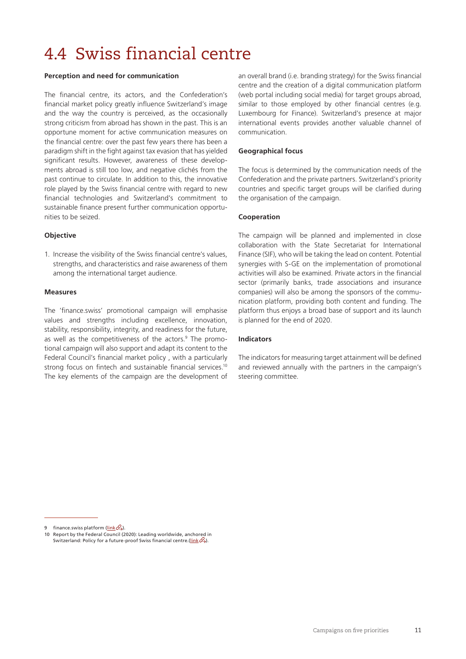## <span id="page-14-0"></span>4.4 Swiss financial centre

#### **Perception and need for communication**

The financial centre, its actors, and the Confederation's financial market policy greatly influence Switzerland's image and the way the country is perceived, as the occasionally strong criticism from abroad has shown in the past. This is an opportune moment for active communication measures on the financial centre: over the past few years there has been a paradigm shift in the fight against tax evasion that has yielded significant results. However, awareness of these developments abroad is still too low, and negative clichés from the past continue to circulate. In addition to this, the innovative role played by the Swiss financial centre with regard to new financial technologies and Switzerland's commitment to sustainable finance present further communication opportunities to be seized.

#### **Objective**

1. Increase the visibility of the Swiss financial centre's values, strengths, and characteristics and raise awareness of them among the international target audience.

#### **Measures**

The 'finance.swiss' promotional campaign will emphasise values and strengths including excellence, innovation, stability, responsibility, integrity, and readiness for the future, as well as the competitiveness of the actors.<sup>9</sup> The promotional campaign will also support and adapt its content to the Federal Council's financial market policy , with a particularly strong focus on fintech and sustainable financial services.<sup>10</sup> The key elements of the campaign are the development of

an overall brand (i.e. branding strategy) for the Swiss financial centre and the creation of a digital communication platform (web portal including social media) for target groups abroad, similar to those employed by other financial centres (e.g. Luxembourg for Finance). Switzerland's presence at major international events provides another valuable channel of communication.

#### **Geographical focus**

The focus is determined by the communication needs of the Confederation and the private partners. Switzerland's priority countries and specific target groups will be clarified during the organisation of the campaign.

#### **Cooperation**

The campaign will be planned and implemented in close collaboration with the State Secretariat for International Finance (SIF), who will be taking the lead on content. Potential synergies with S-GE on the implementation of promotional activities will also be examined. Private actors in the financial sector (primarily banks, trade associations and insurance companies) will also be among the sponsors of the communication platform, providing both content and funding. The platform thus enjoys a broad base of support and its launch is planned for the end of 2020.

#### **Indicators**

The indicators for measuring target attainment will be defined and reviewed annually with the partners in the campaign's steering committee.

finance.swiss platform ([link](https://finance.swiss/)  $\mathcal{B}$ ).

<sup>10</sup> Report by the Federal Council (2020): Leading worldwide, anchored in Switzerland: Policy for a future-proof Swiss financial centre.[\(link](https://www.sif.admin.ch/sif/en/home/finanzmarktpolitik/zusammenfassung.html)  $\mathcal{P}_2$ ).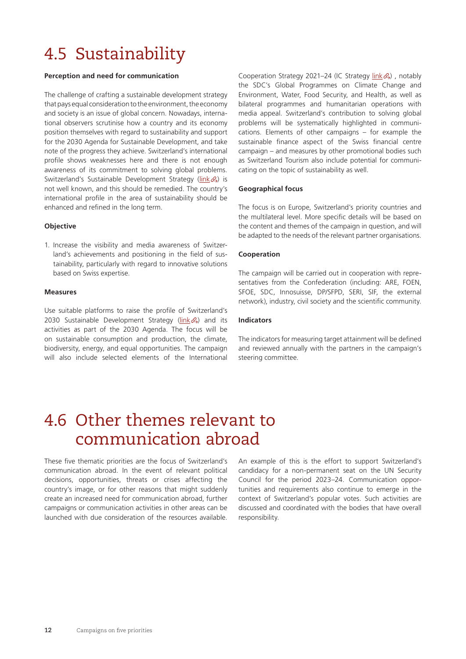## <span id="page-15-0"></span>4.5 Sustainability

#### **Perception and need for communication**

The challenge of crafting a sustainable development strategy that pays equal consideration to the environment, the economy and society is an issue of global concern. Nowadays, international observers scrutinise how a country and its economy position themselves with regard to sustainability and support for the 2030 Agenda for Sustainable Development, and take note of the progress they achieve. Switzerland's international profile shows weaknesses here and there is not enough awareness of its commitment to solving global problems. Switzerland's Sustainable Development Strategy ([link](https://www.are.admin.ch/are/en/home/sustainable-development/strategy-and-planning/sustainable-development-strategy-2016-2019.html) &) is not well known, and this should be remedied. The country's international profile in the area of sustainability should be enhanced and refined in the long term.

#### **Objective**

1. Increase the visibility and media awareness of Switzerland's achievements and positioning in the field of sustainability, particularly with regard to innovative solutions based on Swiss expertise.

#### **Measures**

Use suitable platforms to raise the profile of Switzerland's 2030 Sustainable Development Strategy ( $link \&mathcal{A}$  $link \&mathcal{A}$ ) and its activities as part of the 2030 Agenda. The focus will be on sustainable consumption and production, the climate, biodiversity, energy, and equal opportunities. The campaign will also include selected elements of the International

Cooperation Strategy 2021-24 (IC Strategy [link](https://www.eda.admin.ch/dam/deza/en/documents/publikationen/Diverses/Broschuere_Strategie_IZA_Web_EN.pdf) &), notably the SDC's Global Programmes on Climate Change and Environment, Water, Food Security, and Health, as well as bilateral programmes and humanitarian operations with media appeal. Switzerland's contribution to solving global problems will be systematically highlighted in communications. Elements of other campaigns – for example the sustainable finance aspect of the Swiss financial centre campaign – and measures by other promotional bodies such as Switzerland Tourism also include potential for communicating on the topic of sustainability as well.

#### **Geographical focus**

The focus is on Europe, Switzerland's priority countries and the multilateral level. More specific details will be based on the content and themes of the campaign in question, and will be adapted to the needs of the relevant partner organisations.

#### **Cooperation**

The campaign will be carried out in cooperation with representatives from the Confederation (including: ARE, FOEN, SFOE, SDC, Innosuisse, DP/SFPD, SERI, SIF, the external network), industry, civil society and the scientific community.

#### **Indicators**

The indicators for measuring target attainment will be defined and reviewed annually with the partners in the campaign's steering committee.

### 4.6 Other themes relevant to communication abroad

These five thematic priorities are the focus of Switzerland's communication abroad. In the event of relevant political decisions, opportunities, threats or crises affecting the country's image, or for other reasons that might suddenly create an increased need for communication abroad, further campaigns or communication activities in other areas can be launched with due consideration of the resources available.

An example of this is the effort to support Switzerland's candidacy for a non-permanent seat on the UN Security Council for the period 2023–24. Communication opportunities and requirements also continue to emerge in the context of Switzerland's popular votes. Such activities are discussed and coordinated with the bodies that have overall responsibility.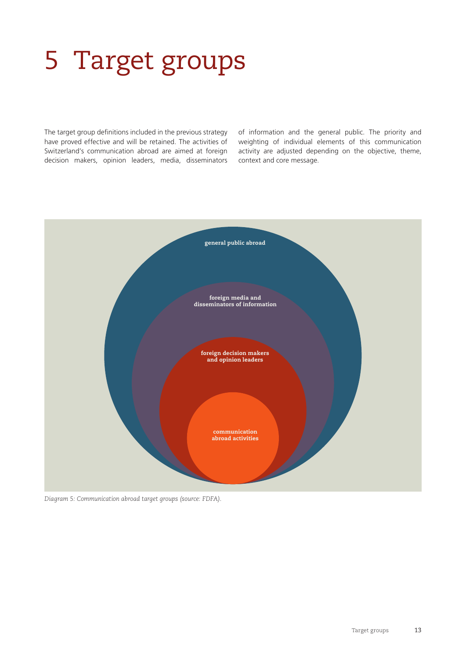# <span id="page-16-0"></span>5 Target groups

The target group definitions included in the previous strategy have proved effective and will be retained. The activities of Switzerland's communication abroad are aimed at foreign decision makers, opinion leaders, media, disseminators

of information and the general public. The priority and weighting of individual elements of this communication activity are adjusted depending on the objective, theme, context and core message.



*Diagram 5: Communication abroad target groups (source: FDFA).*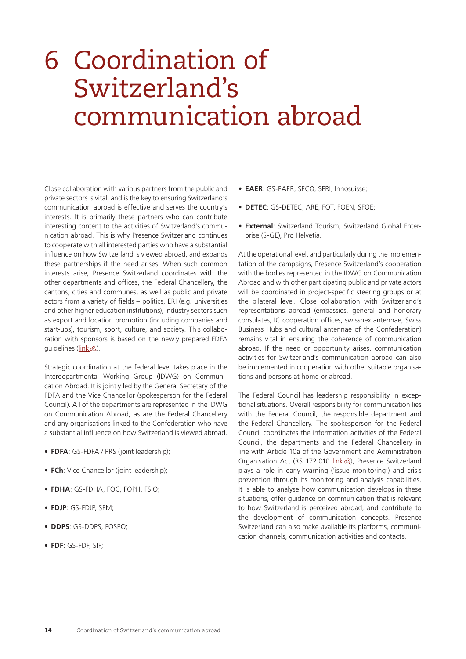## <span id="page-17-0"></span>6 Coordination of Switzerland's communication abroad

Close collaboration with various partners from the public and private sectors is vital, and is the key to ensuring Switzerland's communication abroad is effective and serves the country's interests. It is primarily these partners who can contribute interesting content to the activities of Switzerland's communication abroad. This is why Presence Switzerland continues to cooperate with all interested parties who have a substantial influence on how Switzerland is viewed abroad, and expands these partnerships if the need arises. When such common interests arise, Presence Switzerland coordinates with the other departments and offices, the Federal Chancellery, the cantons, cities and communes, as well as public and private actors from a variety of fields – politics, ERI (e.g. universities and other higher education institutions), industry sectors such as export and location promotion (including companies and start-ups), tourism, sport, culture, and society. This collaboration with sponsors is based on the newly prepared FDFA quidelines  $(\underline{\text{link}} \mathcal{B})$ .

Strategic coordination at the federal level takes place in the Interdepartmental Working Group (IDWG) on Communication Abroad. It is jointly led by the General Secretary of the FDFA and the Vice Chancellor (spokesperson for the Federal Council). All of the departments are represented in the IDWG on Communication Abroad, as are the Federal Chancellery and any organisations linked to the Confederation who have a substantial influence on how Switzerland is viewed abroad.

- **• FDFA**: GS-FDFA / PRS (joint leadership);
- **• FCh**: Vice Chancellor (joint leadership);
- **• FDHA**: GS-FDHA, FOC, FOPH, FSIO;
- **• FDJP**: GS-FDJP, SEM;
- **• DDPS**: GS-DDPS, FOSPO;
- **• FDF**: GS-FDF, SIF;
- **• EAER**: GS-EAER, SECO, SERI, Innosuisse;
- **• DETEC**: GS-DETEC, ARE, FOT, FOEN, SFOE;
- **• External**: Switzerland Tourism, Switzerland Global Enterprise (S-GE), Pro Helvetia.

At the operational level, and particularly during the implementation of the campaigns, Presence Switzerland's cooperation with the bodies represented in the IDWG on Communication Abroad and with other participating public and private actors will be coordinated in project-specific steering groups or at the bilateral level. Close collaboration with Switzerland's representations abroad (embassies, general and honorary consulates, IC cooperation offices, swissnex antennae, Swiss Business Hubs and cultural antennae of the Confederation) remains vital in ensuring the coherence of communication abroad. If the need or opportunity arises, communication activities for Switzerland's communication abroad can also be implemented in cooperation with other suitable organisations and persons at home or abroad.

The Federal Council has leadership responsibility in exceptional situations. Overall responsibility for communication lies with the Federal Council, the responsible department and the Federal Chancellery. The spokesperson for the Federal Council coordinates the information activities of the Federal Council, the departments and the Federal Chancellery in line with Article 10a of the Government and Administration Organisation Act (RS 172.010 [link](https://www.fedlex.admin.ch/eli/cc/1997/2022_2022_2022/en) 4), Presence Switzerland plays a role in early warning ('issue monitoring') and crisis prevention through its monitoring and analysis capabilities. It is able to analyse how communication develops in these situations, offer guidance on communication that is relevant to how Switzerland is perceived abroad, and contribute to the development of communication concepts. Presence Switzerland can also make available its platforms, communication channels, communication activities and contacts.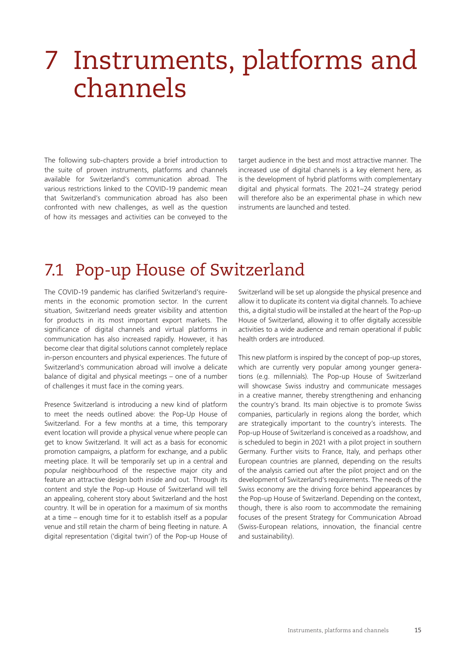## <span id="page-18-0"></span>7 Instruments, platforms and channels

The following sub-chapters provide a brief introduction to the suite of proven instruments, platforms and channels available for Switzerland's communication abroad. The various restrictions linked to the COVID-19 pandemic mean that Switzerland's communication abroad has also been confronted with new challenges, as well as the question of how its messages and activities can be conveyed to the

target audience in the best and most attractive manner. The increased use of digital channels is a key element here, as is the development of hybrid platforms with complementary digital and physical formats. The 2021–24 strategy period will therefore also be an experimental phase in which new instruments are launched and tested.

### 7.1 Pop-up House of Switzerland

The COVID-19 pandemic has clarified Switzerland's requirements in the economic promotion sector. In the current situation, Switzerland needs greater visibility and attention for products in its most important export markets. The significance of digital channels and virtual platforms in communication has also increased rapidly. However, it has become clear that digital solutions cannot completely replace in-person encounters and physical experiences. The future of Switzerland's communication abroad will involve a delicate balance of digital and physical meetings – one of a number of challenges it must face in the coming years.

Presence Switzerland is introducing a new kind of platform to meet the needs outlined above: the Pop-Up House of Switzerland. For a few months at a time, this temporary event location will provide a physical venue where people can get to know Switzerland. It will act as a basis for economic promotion campaigns, a platform for exchange, and a public meeting place. It will be temporarily set up in a central and popular neighbourhood of the respective major city and feature an attractive design both inside and out. Through its content and style the Pop-up House of Switzerland will tell an appealing, coherent story about Switzerland and the host country. It will be in operation for a maximum of six months at a time – enough time for it to establish itself as a popular venue and still retain the charm of being fleeting in nature. A digital representation ('digital twin') of the Pop-up House of

Switzerland will be set up alongside the physical presence and allow it to duplicate its content via digital channels. To achieve this, a digital studio will be installed at the heart of the Pop-up House of Switzerland, allowing it to offer digitally accessible activities to a wide audience and remain operational if public health orders are introduced.

This new platform is inspired by the concept of pop-up stores, which are currently very popular among younger generations (e.g. millennials). The Pop-up House of Switzerland will showcase Swiss industry and communicate messages in a creative manner, thereby strengthening and enhancing the country's brand. Its main objective is to promote Swiss companies, particularly in regions along the border, which are strategically important to the country's interests. The Pop-up House of Switzerland is conceived as a roadshow, and is scheduled to begin in 2021 with a pilot project in southern Germany. Further visits to France, Italy, and perhaps other European countries are planned, depending on the results of the analysis carried out after the pilot project and on the development of Switzerland's requirements. The needs of the Swiss economy are the driving force behind appearances by the Pop-up House of Switzerland. Depending on the context, though, there is also room to accommodate the remaining focuses of the present Strategy for Communication Abroad (Swiss-European relations, innovation, the financial centre and sustainability).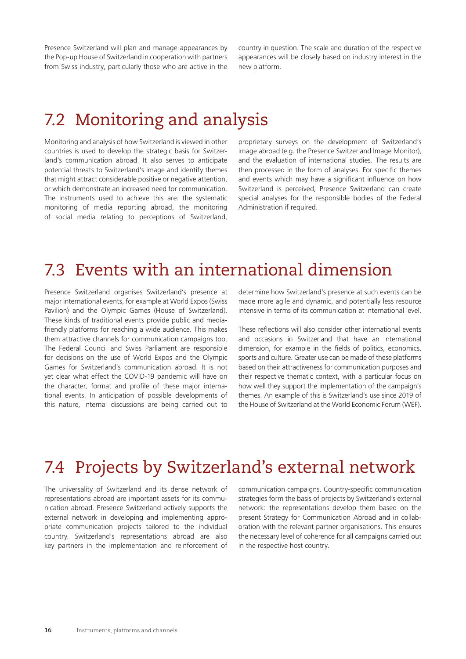<span id="page-19-0"></span>Presence Switzerland will plan and manage appearances by the Pop-up House of Switzerland in cooperation with partners from Swiss industry, particularly those who are active in the country in question. The scale and duration of the respective appearances will be closely based on industry interest in the new platform.

## 7.2 Monitoring and analysis

Monitoring and analysis of how Switzerland is viewed in other countries is used to develop the strategic basis for Switzerland's communication abroad. It also serves to anticipate potential threats to Switzerland's image and identify themes that might attract considerable positive or negative attention, or which demonstrate an increased need for communication. The instruments used to achieve this are: the systematic monitoring of media reporting abroad, the monitoring of social media relating to perceptions of Switzerland,

proprietary surveys on the development of Switzerland's image abroad (e.g. the Presence Switzerland Image Monitor), and the evaluation of international studies. The results are then processed in the form of analyses. For specific themes and events which may have a significant influence on how Switzerland is perceived, Presence Switzerland can create special analyses for the responsible bodies of the Federal Administration if required.

### 7.3 Events with an international dimension

Presence Switzerland organises Switzerland's presence at major international events, for example at World Expos (Swiss Pavilion) and the Olympic Games (House of Switzerland). These kinds of traditional events provide public and mediafriendly platforms for reaching a wide audience. This makes them attractive channels for communication campaigns too. The Federal Council and Swiss Parliament are responsible for decisions on the use of World Expos and the Olympic Games for Switzerland's communication abroad. It is not yet clear what effect the COVID-19 pandemic will have on the character, format and profile of these major international events. In anticipation of possible developments of this nature, internal discussions are being carried out to

determine how Switzerland's presence at such events can be made more agile and dynamic, and potentially less resource intensive in terms of its communication at international level.

These reflections will also consider other international events and occasions in Switzerland that have an international dimension, for example in the fields of politics, economics, sports and culture. Greater use can be made of these platforms based on their attractiveness for communication purposes and their respective thematic context, with a particular focus on how well they support the implementation of the campaign's themes. An example of this is Switzerland's use since 2019 of the House of Switzerland at the World Economic Forum (WEF).

### 7.4 Projects by Switzerland's external network

The universality of Switzerland and its dense network of representations abroad are important assets for its communication abroad. Presence Switzerland actively supports the external network in developing and implementing appropriate communication projects tailored to the individual country. Switzerland's representations abroad are also key partners in the implementation and reinforcement of

communication campaigns. Country-specific communication strategies form the basis of projects by Switzerland's external network: the representations develop them based on the present Strategy for Communication Abroad and in collaboration with the relevant partner organisations. This ensures the necessary level of coherence for all campaigns carried out in the respective host country.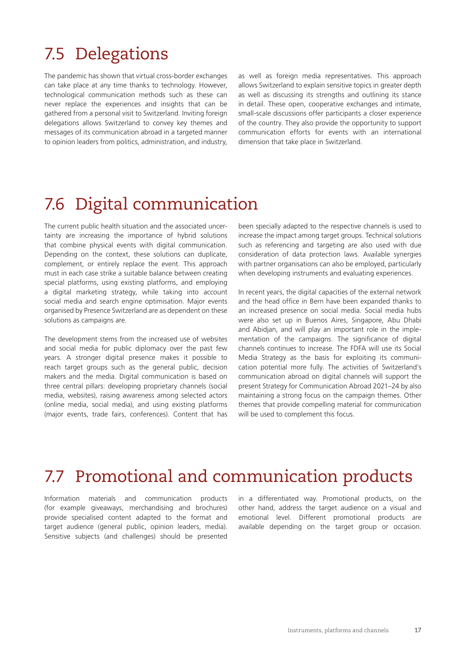### <span id="page-20-0"></span>7.5 Delegations

The pandemic has shown that virtual cross-border exchanges can take place at any time thanks to technology. However, technological communication methods such as these can never replace the experiences and insights that can be gathered from a personal visit to Switzerland. Inviting foreign delegations allows Switzerland to convey key themes and messages of its communication abroad in a targeted manner to opinion leaders from politics, administration, and industry, as well as foreign media representatives. This approach allows Switzerland to explain sensitive topics in greater depth as well as discussing its strengths and outlining its stance in detail. These open, cooperative exchanges and intimate, small-scale discussions offer participants a closer experience of the country. They also provide the opportunity to support communication efforts for events with an international dimension that take place in Switzerland.

### 7.6 Digital communication

The current public health situation and the associated uncertainty are increasing the importance of hybrid solutions that combine physical events with digital communication. Depending on the context, these solutions can duplicate, complement, or entirely replace the event. This approach must in each case strike a suitable balance between creating special platforms, using existing platforms, and employing a digital marketing strategy, while taking into account social media and search engine optimisation. Major events organised by Presence Switzerland are as dependent on these solutions as campaigns are.

The development stems from the increased use of websites and social media for public diplomacy over the past few years. A stronger digital presence makes it possible to reach target groups such as the general public, decision makers and the media. Digital communication is based on three central pillars: developing proprietary channels (social media, websites), raising awareness among selected actors (online media, social media), and using existing platforms (major events, trade fairs, conferences). Content that has

been specially adapted to the respective channels is used to increase the impact among target groups. Technical solutions such as referencing and targeting are also used with due consideration of data protection laws. Available synergies with partner organisations can also be employed, particularly when developing instruments and evaluating experiences.

In recent years, the digital capacities of the external network and the head office in Bern have been expanded thanks to an increased presence on social media. Social media hubs were also set up in Buenos Aires, Singapore, Abu Dhabi and Abidjan, and will play an important role in the implementation of the campaigns. The significance of digital channels continues to increase. The FDFA will use its Social Media Strategy as the basis for exploiting its communication potential more fully. The activities of Switzerland's communication abroad on digital channels will support the present Strategy for Communication Abroad 2021–24 by also maintaining a strong focus on the campaign themes. Other themes that provide compelling material for communication will be used to complement this focus.

## 7.7 Promotional and communication products

Information materials and communication products (for example giveaways, merchandising and brochures) provide specialised content adapted to the format and target audience (general public, opinion leaders, media). Sensitive subjects (and challenges) should be presented in a differentiated way. Promotional products, on the other hand, address the target audience on a visual and emotional level. Different promotional products are available depending on the target group or occasion.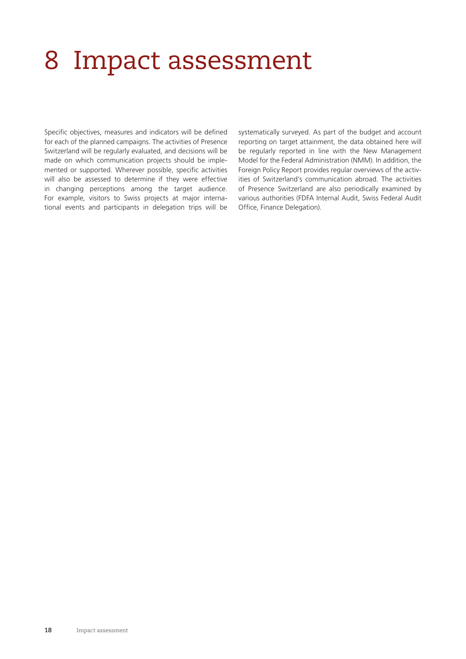## <span id="page-21-0"></span>8 Impact assessment

Specific objectives, measures and indicators will be defined for each of the planned campaigns. The activities of Presence Switzerland will be regularly evaluated, and decisions will be made on which communication projects should be implemented or supported. Wherever possible, specific activities will also be assessed to determine if they were effective in changing perceptions among the target audience. For example, visitors to Swiss projects at major international events and participants in delegation trips will be

systematically surveyed. As part of the budget and account reporting on target attainment, the data obtained here will be regularly reported in line with the New Management Model for the Federal Administration (NMM). In addition, the Foreign Policy Report provides regular overviews of the activities of Switzerland's communication abroad. The activities of Presence Switzerland are also periodically examined by various authorities (FDFA Internal Audit, Swiss Federal Audit Office, Finance Delegation).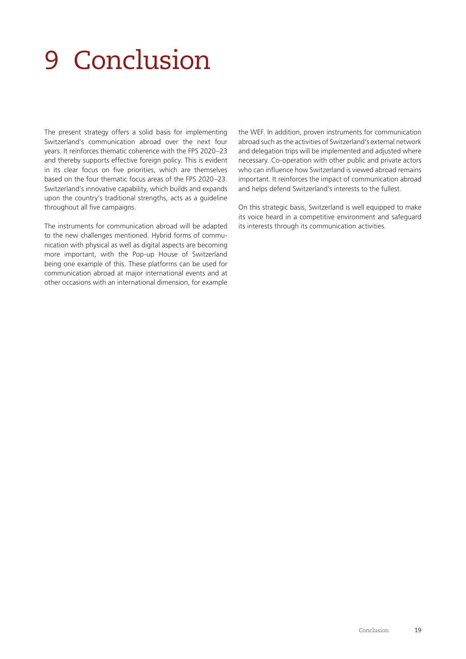## <span id="page-22-0"></span>9 Conclusion

The present strategy offers a solid basis for implementing Switzerland's communication abroad over the next four years. It reinforces thematic coherence with the FPS 2020–23 and thereby supports effective foreign policy. This is evident in its clear focus on five priorities, which are themselves based on the four thematic focus areas of the FPS 2020–23. Switzerland's innovative capability, which builds and expands upon the country's traditional strengths, acts as a guideline throughout all five campaigns.

The instruments for communication abroad will be adapted to the new challenges mentioned. Hybrid forms of communication with physical as well as digital aspects are becoming more important, with the Pop-up House of Switzerland being one example of this. These platforms can be used for communication abroad at major international events and at other occasions with an international dimension, for example the WEF. In addition, proven instruments for communication abroad such as the activities of Switzerland's external network and delegation trips will be implemented and adjusted where necessary. Co-operation with other public and private actors who can influence how Switzerland is viewed abroad remains important. It reinforces the impact of communication abroad and helps defend Switzerland's interests to the fullest.

On this strategic basis, Switzerland is well equipped to make its voice heard in a competitive environment and safeguard its interests through its communication activities.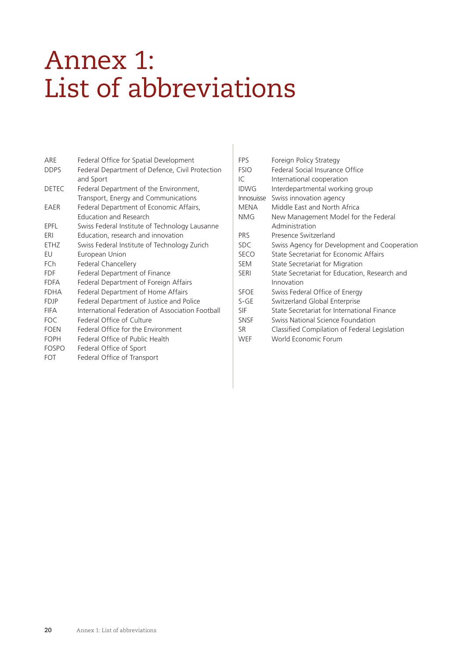## <span id="page-23-0"></span>Annex 1: List of abbreviations

| ARE          | Federal Office for Spatial Development           |
|--------------|--------------------------------------------------|
| <b>DDPS</b>  | Federal Department of Defence, Civil Protection  |
|              | and Sport                                        |
| <b>DETEC</b> | Federal Department of the Environment,           |
|              | Transport, Energy and Communications             |
| EAER         | Federal Department of Economic Affairs,          |
|              | <b>Education and Research</b>                    |
| FPFI         | Swiss Federal Institute of Technology Lausanne   |
| FRI          | Education, research and innovation               |
| FTH7         | Swiss Federal Institute of Technology Zurich     |
| EU           | European Union                                   |
| FCh          | Federal Chancellery                              |
| FDF          | Federal Department of Finance                    |
| <b>FDFA</b>  | Federal Department of Foreign Affairs            |
| <b>FDHA</b>  | Federal Department of Home Affairs               |
| FDJP         | Federal Department of Justice and Police         |
| <b>FIFA</b>  | International Federation of Association Football |
| <b>FOC</b>   | Federal Office of Culture                        |
| <b>FOEN</b>  | Federal Office for the Environment               |
| FOPH         | Federal Office of Public Health                  |
| <b>FOSPO</b> | Federal Office of Sport                          |
| FOT          | Federal Office of Transport                      |

| <b>FPS</b>        | Foreign Policy Strategy                       |
|-------------------|-----------------------------------------------|
| <b>FSIO</b>       | Federal Social Insurance Office               |
| IC                | International cooperation                     |
| <b>IDWG</b>       | Interdepartmental working group               |
| <b>Innosuisse</b> | Swiss innovation agency                       |
| <b>MENA</b>       | Middle East and North Africa                  |
| NMG               | New Management Model for the Federal          |
|                   | Administration                                |
| <b>PRS</b>        | Presence Switzerland                          |
| <b>SDC</b>        | Swiss Agency for Development and Cooperation  |
| <b>SECO</b>       | State Secretariat for Economic Affairs        |
| <b>SEM</b>        | State Secretariat for Migration               |
| <b>SERI</b>       | State Secretariat for Education, Research and |
|                   | Innovation                                    |
| <b>SFOE</b>       | Swiss Federal Office of Energy                |
| $S-GE$            | Switzerland Global Enterprise                 |
| SIF               | State Secretariat for International Finance   |
| <b>SNSF</b>       | Swiss National Science Foundation             |
| SR                | Classified Compilation of Federal Legislation |
| WEF               | World Economic Forum                          |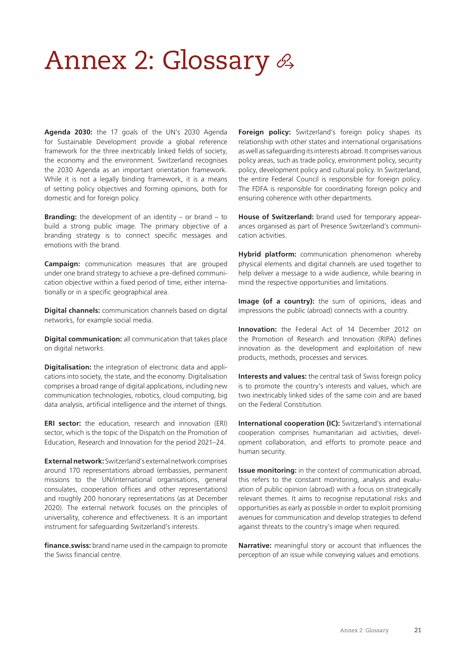## <span id="page-24-0"></span>Annex 2: Glossary  $\mathscr A$

**Agenda 2030:** the 17 goals of the UN's 2030 Agenda for Sustainable Development provide a global reference framework for the three inextricably linked fields of society, the economy and the environment. Switzerland recognises the 2030 Agenda as an important orientation framework. While it is not a legally binding framework, it is a means of setting policy objectives and forming opinions, both for domestic and for foreign policy.

**Branding:** the development of an identity – or brand – to build a strong public image. The primary objective of a branding strategy is to connect specific messages and emotions with the brand.

**Campaign:** communication measures that are grouped under one brand strategy to achieve a pre-defined communication objective within a fixed period of time, either internationally or in a specific geographical area.

**Digital channels:** communication channels based on digital networks, for example social media.

**Digital communication:** all communication that takes place on digital networks.

**Digitalisation:** the integration of electronic data and applications into society, the state, and the economy. Digitalisation comprises a broad range of digital applications, including new communication technologies, robotics, cloud computing, big data analysis, artificial intelligence and the internet of things.

**ERI sector:** the education, research and innovation (ERI) sector, which is the topic of the Dispatch on the Promotion of Education, Research and Innovation for the period 2021–24.

**External network:** Switzerland's external network comprises around 170 representations abroad (embassies, permanent missions to the UN/international organisations, general consulates, cooperation offices and other representations) and roughly 200 honorary representations (as at December 2020). The external network focuses on the principles of universality, coherence and effectiveness. It is an important instrument for safeguarding Switzerland's interests.

**finance.swiss:** brand name used in the campaign to promote the Swiss financial centre.

**Foreign policy:** Switzerland's foreign policy shapes its relationship with other states and international organisations as well as safeguarding its interests abroad. It comprises various policy areas, such as trade policy, environment policy, security policy, development policy and cultural policy. In Switzerland, the entire Federal Council is responsible for foreign policy. The FDFA is responsible for coordinating foreign policy and ensuring coherence with other departments.

**House of Switzerland:** brand used for temporary appearances organised as part of Presence Switzerland's communication activities.

**Hybrid platform:** communication phenomenon whereby physical elements and digital channels are used together to help deliver a message to a wide audience, while bearing in mind the respective opportunities and limitations.

**Image (of a country):** the sum of opinions, ideas and impressions the public (abroad) connects with a country.

**Innovation:** the Federal Act of 14 December 2012 on the Promotion of Research and Innovation (RIPA) defines innovation as the development and exploitation of new products, methods, processes and services.

**Interests and values:** the central task of Swiss foreign policy is to promote the country's interests and values, which are two inextricably linked sides of the same coin and are based on the Federal Constitution.

**International cooperation (IC):** Switzerland's international cooperation comprises humanitarian aid activities, development collaboration, and efforts to promote peace and human security.

**Issue monitoring:** in the context of communication abroad, this refers to the constant monitoring, analysis and evaluation of public opinion (abroad) with a focus on strategically relevant themes. It aims to recognise reputational risks and opportunities as early as possible in order to exploit promising avenues for communication and develop strategies to defend against threats to the country's image when required.

**Narrative:** meaningful story or account that influences the perception of an issue while conveying values and emotions.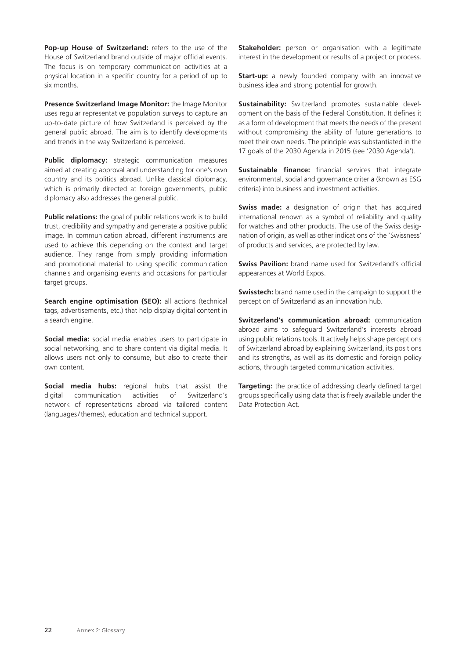**Pop-up House of Switzerland:** refers to the use of the House of Switzerland brand outside of major official events. The focus is on temporary communication activities at a physical location in a specific country for a period of up to six months.

**Presence Switzerland Image Monitor:** the Image Monitor uses regular representative population surveys to capture an up-to-date picture of how Switzerland is perceived by the general public abroad. The aim is to identify developments and trends in the way Switzerland is perceived.

Public diplomacy: strategic communication measures aimed at creating approval and understanding for one's own country and its politics abroad. Unlike classical diplomacy, which is primarily directed at foreign governments, public diplomacy also addresses the general public.

**Public relations:** the goal of public relations work is to build trust, credibility and sympathy and generate a positive public image. In communication abroad, different instruments are used to achieve this depending on the context and target audience. They range from simply providing information and promotional material to using specific communication channels and organising events and occasions for particular target groups.

**Search engine optimisation (SEO):** all actions (technical tags, advertisements, etc.) that help display digital content in a search engine.

**Social media:** social media enables users to participate in social networking, and to share content via digital media. It allows users not only to consume, but also to create their own content.

**Social media hubs:** regional hubs that assist the digital communication activities of Switzerland's network of representations abroad via tailored content (languages/themes), education and technical support.

**Stakeholder:** person or organisation with a legitimate interest in the development or results of a project or process.

**Start-up:** a newly founded company with an innovative business idea and strong potential for growth.

**Sustainability:** Switzerland promotes sustainable development on the basis of the Federal Constitution. It defines it as a form of development that meets the needs of the present without compromising the ability of future generations to meet their own needs. The principle was substantiated in the 17 goals of the 2030 Agenda in 2015 (see '2030 Agenda').

**Sustainable finance:** financial services that integrate environmental, social and governance criteria (known as ESG criteria) into business and investment activities.

**Swiss made:** a designation of origin that has acquired international renown as a symbol of reliability and quality for watches and other products. The use of the Swiss designation of origin, as well as other indications of the 'Swissness' of products and services, are protected by law.

**Swiss Pavilion:** brand name used for Switzerland's official appearances at World Expos.

**Swisstech:** brand name used in the campaign to support the perception of Switzerland as an innovation hub.

**Switzerland's communication abroad:** communication abroad aims to safeguard Switzerland's interests abroad using public relations tools. It actively helps shape perceptions of Switzerland abroad by explaining Switzerland, its positions and its strengths, as well as its domestic and foreign policy actions, through targeted communication activities.

**Targeting:** the practice of addressing clearly defined target groups specifically using data that is freely available under the Data Protection Act.